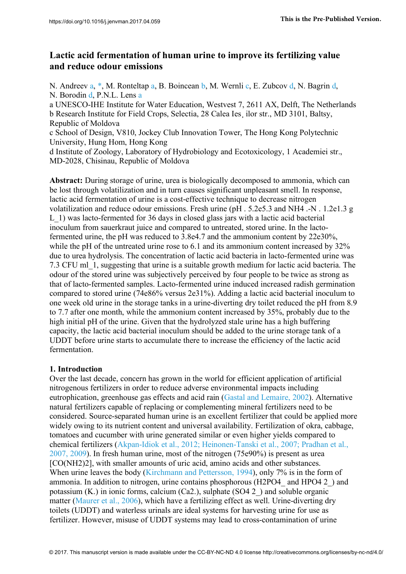# **Lactic acid fermentation of human urine to improve its fertilizing value and reduce odour emissions**

N. Andreev a, \*, M. Ronteltap a, B. Boincean b, M. Wernli c, E. Zubcov d, N. Bagrin d, N. Borodin d, P.N.L. Lens a

a UNESCO-IHE Institute for Water Education, Westvest 7, 2611 AX, Delft, The Netherlands b Research Institute for Field Crops, Selectia, 28 Calea Ies¸ ilor str., MD 3101, Baltsy, Republic of Moldova

c School of Design, V810, Jockey Club Innovation Tower, The Hong Kong Polytechnic University, Hung Hom, Hong Kong

d Institute of Zoology, Laboratory of Hydrobiology and Ecotoxicology, 1 Academiei str., MD-2028, Chisinau, Republic of Moldova

**Abstract:** During storage of urine, urea is biologically decomposed to ammonia, which can be lost through volatilization and in turn causes significant unpleasant smell. In response, lactic acid fermentation of urine is a cost-effective technique to decrease nitrogen volatilization and reduce odour emissions. Fresh urine (pH . 5.2e5.3 and NH4 .-N . 1.2e1.3 g L\_1) was lacto-fermented for 36 days in closed glass jars with a lactic acid bacterial inoculum from sauerkraut juice and compared to untreated, stored urine. In the lactofermented urine, the pH was reduced to 3.8e4.7 and the ammonium content by 22e30%, while the pH of the untreated urine rose to 6.1 and its ammonium content increased by 32% due to urea hydrolysis. The concentration of lactic acid bacteria in lacto-fermented urine was 7.3 CFU ml\_1, suggesting that urine is a suitable growth medium for lactic acid bacteria. The odour of the stored urine was subjectively perceived by four people to be twice as strong as that of lacto-fermented samples. Lacto-fermented urine induced increased radish germination compared to stored urine (74e86% versus 2e31%). Adding a lactic acid bacterial inoculum to one week old urine in the storage tanks in a urine-diverting dry toilet reduced the pH from 8.9 to 7.7 after one month, while the ammonium content increased by 35%, probably due to the high initial pH of the urine. Given that the hydrolyzed stale urine has a high buffering capacity, the lactic acid bacterial inoculum should be added to the urine storage tank of a UDDT before urine starts to accumulate there to increase the efficiency of the lactic acid fermentation.

# **1. Introduction**

Over the last decade, concern has grown in the world for efficient application of artificial nitrogenous fertilizers in order to reduce adverse environmental impacts including eutrophication, greenhouse gas effects and acid rain (Gastal and Lemaire, 2002). Alternative natural fertilizers capable of replacing or complementing mineral fertilizers need to be considered. Source-separated human urine is an excellent fertilizer that could be applied more widely owing to its nutrient content and universal availability. Fertilization of okra, cabbage, tomatoes and cucumber with urine generated similar or even higher yields compared to chemical fertilizers (Akpan-Idiok et al., 2012; Heinonen-Tanski et al., 2007; Pradhan et al., 2007, 2009). In fresh human urine, most of the nitrogen (75e90%) is present as urea [CO(NH2)2], with smaller amounts of uric acid, amino acids and other substances. When urine leaves the body (Kirchmann and Pettersson, 1994), only 7% is in the form of ammonia. In addition to nitrogen, urine contains phosphorous (H2PO4\_ and HPO4 2\_) and potassium  $(K<sub>1</sub>)$  in ionic forms, calcium  $(Ca2<sub>1</sub>)$ , sulphate  $(SO42<sub>1</sub>)$  and soluble organic matter (Maurer et al., 2006), which have a fertilizing effect as well. Urine-diverting dry toilets (UDDT) and waterless urinals are ideal systems for harvesting urine for use as fertilizer. However, misuse of UDDT systems may lead to cross-contamination of urine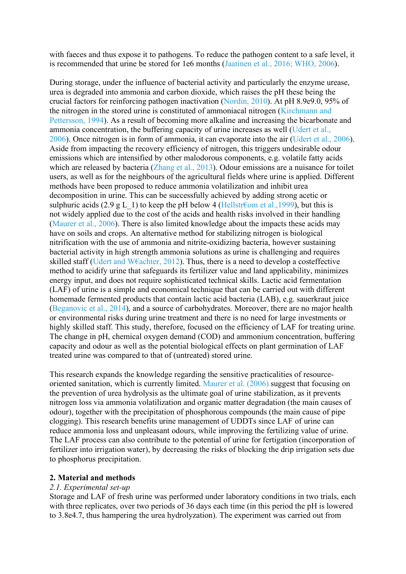with faeces and thus expose it to pathogens. To reduce the pathogen content to a safe level, it is recommended that urine be stored for 1e6 months (Jaatinen et al., 2016; WHO, 2006).

During storage, under the influence of bacterial activity and particularly the enzyme urease, urea is degraded into ammonia and carbon dioxide, which raises the pH these being the crucial factors for reinforcing pathogen inactivation (Nordin, 2010). At pH 8.9e9.0, 95% of the nitrogen in the stored urine is constituted of ammoniacal nitrogen (Kirchmann and Pettersson, 1994). As a result of becoming more alkaline and increasing the bicarbonate and ammonia concentration, the buffering capacity of urine increases as well (Udert et al., 2006). Once nitrogen is in form of ammonia, it can evaporate into the air (Udert et al., 2006). Aside from impacting the recovery efficiency of nitrogen, this triggers undesirable odour emissions which are intensified by other malodorous components, e.g. volatile fatty acids which are released by bacteria (Zhang et al., 2013). Odour emissions are a nuisance for toilet users, as well as for the neighbours of the agricultural fields where urine is applied. Different methods have been proposed to reduce ammonia volatilization and inhibit urea decomposition in urine. This can be successfully achieved by adding strong acetic or sulphuric acids (2.9 g L 1) to keep the pH below 4 (Hellstr $\epsilon$ om et al.,1999), but this is not widely applied due to the cost of the acids and health risks involved in their handling (Maurer et al., 2006). There is also limited knowledge about the impacts these acids may have on soils and crops. An alternative method for stabilizing nitrogen is biological nitrification with the use of ammonia and nitrite-oxidizing bacteria, however sustaining bacterial activity in high strength ammonia solutions as urine is challenging and requires skilled staff (Udert and W€achter, 2012). Thus, there is a need to develop a costeffective method to acidify urine that safeguards its fertilizer value and land applicability, minimizes energy input, and does not require sophisticated technical skills. Lactic acid fermentation (LAF) of urine is a simple and economical technique that can be carried out with different homemade fermented products that contain lactic acid bacteria (LAB), e.g. sauerkraut juice (Beganovic et al., 2014), and a source of carbohydrates. Moreover, there are no major health or environmental risks during urine treatment and there is no need for large investments or highly skilled staff. This study, therefore, focused on the efficiency of LAF for treating urine. The change in pH, chemical oxygen demand (COD) and ammonium concentration, buffering capacity and odour as well as the potential biological effects on plant germination of LAF treated urine was compared to that of (untreated) stored urine.

This research expands the knowledge regarding the sensitive practicalities of resourceoriented sanitation, which is currently limited. Maurer et al. (2006) suggest that focusing on the prevention of urea hydrolysis as the ultimate goal of urine stabilization, as it prevents nitrogen loss via ammonia volatilization and organic matter degradation (the main causes of odour), together with the precipitation of phosphorous compounds (the main cause of pipe clogging). This research benefits urine management of UDDTs since LAF of urine can reduce ammonia loss and unpleasant odours, while improving the fertilizing value of urine. The LAF process can also contribute to the potential of urine for fertigation (incorporation of fertilizer into irrigation water), by decreasing the risks of blocking the drip irrigation sets due to phosphorus precipitation.

#### **2. Material and methods**

### *2.1. Experimental set-up*

Storage and LAF of fresh urine was performed under laboratory conditions in two trials, each with three replicates, over two periods of 36 days each time (in this period the pH is lowered to 3.8e4.7, thus hampering the urea hydrolyzation). The experiment was carried out from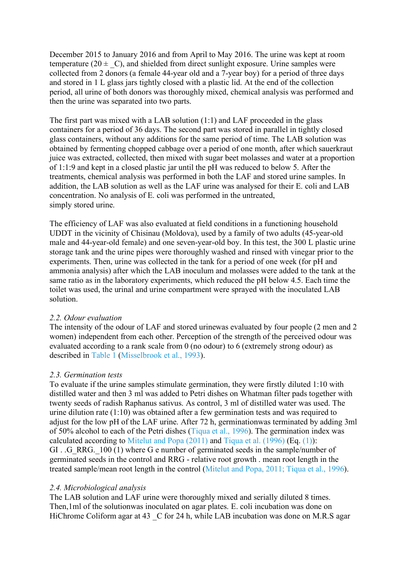December 2015 to January 2016 and from April to May 2016. The urine was kept at room temperature ( $20 \pm C$ ), and shielded from direct sunlight exposure. Urine samples were collected from 2 donors (a female 44-year old and a 7-year boy) for a period of three days and stored in 1 L glass jars tightly closed with a plastic lid. At the end of the collection period, all urine of both donors was thoroughly mixed, chemical analysis was performed and then the urine was separated into two parts.

The first part was mixed with a LAB solution (1:1) and LAF proceeded in the glass containers for a period of 36 days. The second part was stored in parallel in tightly closed glass containers, without any additions for the same period of time. The LAB solution was obtained by fermenting chopped cabbage over a period of one month, after which sauerkraut juice was extracted, collected, then mixed with sugar beet molasses and water at a proportion of 1:1:9 and kept in a closed plastic jar until the pH was reduced to below 5. After the treatments, chemical analysis was performed in both the LAF and stored urine samples. In addition, the LAB solution as well as the LAF urine was analysed for their E. coli and LAB concentration. No analysis of E. coli was performed in the untreated, simply stored urine.

The efficiency of LAF was also evaluated at field conditions in a functioning household UDDT in the vicinity of Chisinau (Moldova), used by a family of two adults (45-year-old male and 44-year-old female) and one seven-year-old boy. In this test, the 300 L plastic urine storage tank and the urine pipes were thoroughly washed and rinsed with vinegar prior to the experiments. Then, urine was collected in the tank for a period of one week (for pH and ammonia analysis) after which the LAB inoculum and molasses were added to the tank at the same ratio as in the laboratory experiments, which reduced the pH below 4.5. Each time the toilet was used, the urinal and urine compartment were sprayed with the inoculated LAB solution.

### *2.2. Odour evaluation*

The intensity of the odour of LAF and stored urinewas evaluated by four people (2 men and 2 women) independent from each other. Perception of the strength of the perceived odour was evaluated according to a rank scale from 0 (no odour) to 6 (extremely strong odour) as described in Table 1 (Misselbrook et al., 1993).

### *2.3. Germination tests*

To evaluate if the urine samples stimulate germination, they were firstly diluted 1:10 with distilled water and then 3 ml was added to Petri dishes on Whatman filter pads together with twenty seeds of radish Raphanus sativus. As control, 3 ml of distilled water was used. The urine dilution rate (1:10) was obtained after a few germination tests and was required to adjust for the low pH of the LAF urine. After 72 h, germinationwas terminated by adding 3ml of 50% alcohol to each of the Petri dishes (Tiqua et al., 1996). The germination index was calculated according to Mitelut and Popa  $(2011)$  and Tiqua et al.  $(1996)$  (Eq.  $(1)$ ): GI. G. RRG. 100 (1) where G e number of germinated seeds in the sample/number of germinated seeds in the control and RRG - relative root growth . mean root length in the treated sample/mean root length in the control (Mitelut and Popa, 2011; Tiqua et al., 1996).

### *2.4. Microbiological analysis*

The LAB solution and LAF urine were thoroughly mixed and serially diluted 8 times. Then,1ml of the solutionwas inoculated on agar plates. E. coli incubation was done on HiChrome Coliform agar at 43 C for 24 h, while LAB incubation was done on M.R.S agar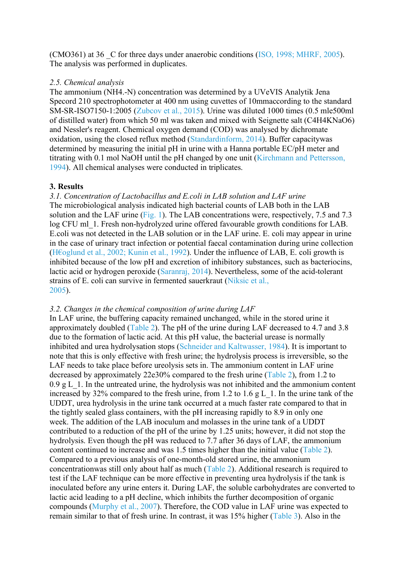(CMO361) at 36 \_C for three days under anaerobic conditions (ISO, 1998; MHRF, 2005). The analysis was performed in duplicates.

### *2.5. Chemical analysis*

The ammonium (NH4.-N) concentration was determined by a UVeVIS Analytik Jena Specord 210 spectrophotometer at 400 nm using cuvettes of 10mmaccording to the standard SM-SR-ISO7150-1:2005 (Zubcov et al., 2015). Urine was diluted 1000 times (0.5 mle500ml of distilled water) from which 50 ml was taken and mixed with Seignette salt (C4H4KNaO6) and Nessler's reagent. Chemical oxygen demand (COD) was analysed by dichromate oxidation, using the closed reflux method (Standardinform, 2014). Buffer capacitywas determined by measuring the initial pH in urine with a Hanna portable EC/pH meter and titrating with 0.1 mol NaOH until the pH changed by one unit (Kirchmann and Pettersson, 1994). All chemical analyses were conducted in triplicates.

### **3. Results**

*3.1. Concentration of Lactobacillus and E.coli in LAB solution and LAF urine* The microbiological analysis indicated high bacterial counts of LAB both in the LAB solution and the LAF urine (Fig. 1). The LAB concentrations were, respectively, 7.5 and 7.3 log CFU ml 1. Fresh non-hydrolyzed urine offered favourable growth conditions for LAB. E.coli was not detected in the LAB solution or in the LAF urine. E. coli may appear in urine in the case of urinary tract infection or potential faecal contamination during urine collection (H€oglund et al., 2002; Kunin et al., 1992). Under the influence of LAB, E. coli growth is inhibited because of the low pH and excretion of inhibitory substances, such as bacteriocins, lactic acid or hydrogen peroxide (Saranraj, 2014). Nevertheless, some of the acid-tolerant strains of E. coli can survive in fermented sauerkraut (Niksic et al., 2005).

# *3.2. Changes in the chemical composition of urine during LAF*

In LAF urine, the buffering capacity remained unchanged, while in the stored urine it approximately doubled (Table 2). The pH of the urine during LAF decreased to 4.7 and 3.8 due to the formation of lactic acid. At this pH value, the bacterial urease is normally inhibited and urea hydrolysation stops (Schneider and Kaltwasser, 1984). It is important to note that this is only effective with fresh urine; the hydrolysis process is irreversible, so the LAF needs to take place before ureolysis sets in. The ammonium content in LAF urine decreased by approximately 22e30% compared to the fresh urine (Table 2), from 1.2 to  $0.9 \text{ g L}$  1. In the untreated urine, the hydrolysis was not inhibited and the ammonium content increased by 32% compared to the fresh urine, from 1.2 to 1.6 g L 1. In the urine tank of the UDDT, urea hydrolysis in the urine tank occurred at a much faster rate compared to that in the tightly sealed glass containers, with the pH increasing rapidly to 8.9 in only one week. The addition of the LAB inoculum and molasses in the urine tank of a UDDT contributed to a reduction of the pH of the urine by 1.25 units; however, it did not stop the hydrolysis. Even though the pH was reduced to 7.7 after 36 days of LAF, the ammonium content continued to increase and was 1.5 times higher than the initial value (Table 2). Compared to a previous analysis of one-month-old stored urine, the ammonium concentrationwas still only about half as much (Table 2). Additional research is required to test if the LAF technique can be more effective in preventing urea hydrolysis if the tank is inoculated before any urine enters it. During LAF, the soluble carbohydrates are converted to lactic acid leading to a pH decline, which inhibits the further decomposition of organic compounds (Murphy et al., 2007). Therefore, the COD value in LAF urine was expected to remain similar to that of fresh urine. In contrast, it was 15% higher (Table 3). Also in the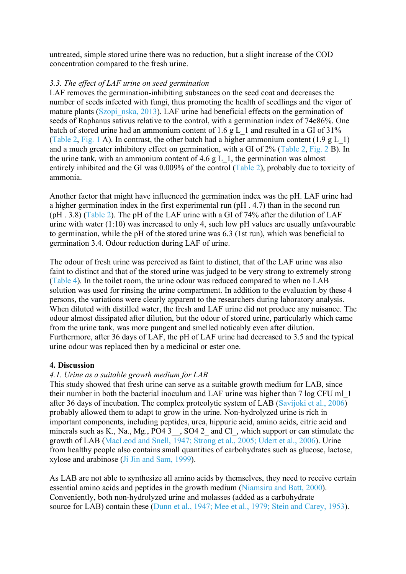untreated, simple stored urine there was no reduction, but a slight increase of the COD concentration compared to the fresh urine.

### *3.3. The effect of LAF urine on seed germination*

LAF removes the germination-inhibiting substances on the seed coat and decreases the number of seeds infected with fungi, thus promoting the health of seedlings and the vigor of mature plants (Szopi\_nska, 2013). LAF urine had beneficial effects on the germination of seeds of Raphanus sativus relative to the control, with a germination index of 74e86%. One batch of stored urine had an ammonium content of 1.6 g L 1 and resulted in a GI of 31% (Table 2, Fig. 1 A). In contrast, the other batch had a higher ammonium content (1.9 g L 1) and a much greater inhibitory effect on germination, with a GI of 2% (Table 2, Fig. 2 B). In the urine tank, with an ammonium content of  $4.6 \text{ g L}$  1, the germination was almost entirely inhibited and the GI was 0.009% of the control (Table 2), probably due to toxicity of ammonia.

Another factor that might have influenced the germination index was the pH. LAF urine had a higher germination index in the first experimental run (pH . 4.7) than in the second run (pH . 3.8) (Table 2). The pH of the LAF urine with a GI of 74% after the dilution of LAF urine with water (1:10) was increased to only 4, such low pH values are usually unfavourable to germination, while the pH of the stored urine was 6.3 (1st run), which was beneficial to germination 3.4. Odour reduction during LAF of urine.

The odour of fresh urine was perceived as faint to distinct, that of the LAF urine was also faint to distinct and that of the stored urine was judged to be very strong to extremely strong (Table 4). In the toilet room, the urine odour was reduced compared to when no LAB solution was used for rinsing the urine compartment. In addition to the evaluation by these 4 persons, the variations were clearly apparent to the researchers during laboratory analysis. When diluted with distilled water, the fresh and LAF urine did not produce any nuisance. The odour almost dissipated after dilution, but the odour of stored urine, particularly which came from the urine tank, was more pungent and smelled noticably even after dilution. Furthermore, after 36 days of LAF, the pH of LAF urine had decreased to 3.5 and the typical urine odour was replaced then by a medicinal or ester one.

### **4. Discussion**

### *4.1. Urine as a suitable growth medium for LAB*

This study showed that fresh urine can serve as a suitable growth medium for LAB, since their number in both the bacterial inoculum and LAF urine was higher than 7 log CFU ml\_1 after 36 days of incubation. The complex proteolytic system of LAB (Savijoki et al., 2006) probably allowed them to adapt to grow in the urine. Non-hydrolyzed urine is rich in important components, including peptides, urea, hippuric acid, amino acids, citric acid and minerals such as K., Na., Mg., PO4 3 , SO4 2 and Cl, which support or can stimulate the growth of LAB (MacLeod and Snell, 1947; Strong et al., 2005; Udert et al., 2006). Urine from healthy people also contains small quantities of carbohydrates such as glucose, lactose, xylose and arabinose (Ji Jin and Sam, 1999).

As LAB are not able to synthesize all amino acids by themselves, they need to receive certain essential amino acids and peptides in the growth medium (Niamsiru and Batt, 2000). Conveniently, both non-hydrolyzed urine and molasses (added as a carbohydrate source for LAB) contain these (Dunn et al., 1947; Mee et al., 1979; Stein and Carey, 1953).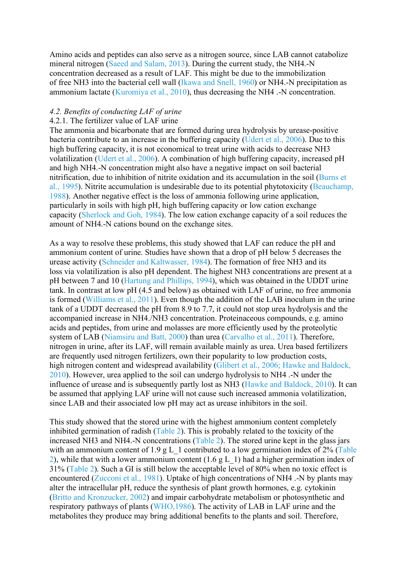Amino acids and peptides can also serve as a nitrogen source, since LAB cannot catabolize mineral nitrogen (Saeed and Salam, 2013). During the current study, the NH4.-N concentration decreased as a result of LAF. This might be due to the immobilization of free NH3 into the bacterial cell wall (Ikawa and Snell, 1960) or NH4.-N precipitation as ammonium lactate (Kuromiya et al., 2010), thus decreasing the NH4 .-N concentration.

#### *4.2. Benefits of conducting LAF of urine*

#### 4.2.1. The fertilizer value of LAF urine

The ammonia and bicarbonate that are formed during urea hydrolysis by urease-positive bacteria contribute to an increase in the buffering capacity (Udert et al., 2006). Due to this high buffering capacity, it is not economical to treat urine with acids to decrease NH3 volatilization (Udert et al., 2006). A combination of high buffering capacity, increased pH and high NH4.-N concentration might also have a negative impact on soil bacterial nitrification, due to inhibition of nitrite oxidation and its accumulation in the soil (Burns et al., 1995). Nitrite accumulation is undesirable due to its potential phytotoxicity (Beauchamp, 1988). Another negative effect is the loss of ammonia following urine application, particularly in soils with high pH, high buffering capacity or low cation exchange capacity (Sherlock and Goh, 1984). The low cation exchange capacity of a soil reduces the amount of NH4.-N cations bound on the exchange sites.

As a way to resolve these problems, this study showed that LAF can reduce the pH and ammonium content of urine. Studies have shown that a drop of pH below 5 decreases the urease activity (Schneider and Kaltwasser, 1984). The formation of free NH3 and its loss via volatilization is also pH dependent. The highest NH3 concentrations are present at a pH between 7 and 10 (Hartung and Phillips, 1994), which was obtained in the UDDT urine tank. In contrast at low pH (4.5 and below) as obtained with LAF of urine, no free ammonia is formed (Williams et al., 2011). Even though the addition of the LAB inoculum in the urine tank of a UDDT decreased the pH from 8.9 to 7.7, it could not stop urea hydrolysis and the accompanied increase in NH4./NH3 concentration. Proteinaceous compounds, e.g. amino acids and peptides, from urine and molasses are more efficiently used by the proteolytic system of LAB (Niamsiru and Batt, 2000) than urea (Carvalho et al., 2011). Therefore, nitrogen in urine, after its LAF, will remain available mainly as urea. Urea based fertilizers are frequently used nitrogen fertilizers, own their popularity to low production costs, high nitrogen content and widespread availability (Glibert et al., 2006; Hawke and Baldock, 2010). However, urea applied to the soil can undergo hydrolysis to NH4 .-N under the influence of urease and is subsequently partly lost as NH3 (Hawke and Baldock, 2010). It can be assumed that applying LAF urine will not cause such increased ammonia volatilization, since LAB and their associated low pH may act as urease inhibitors in the soil.

This study showed that the stored urine with the highest ammonium content completely inhibited germination of radish (Table 2). This is probably related to the toxicity of the increased NH3 and NH4.-N concentrations (Table 2). The stored urine kept in the glass jars with an ammonium content of 1.9 g L 1 contributed to a low germination index of 2% (Table 2), while that with a lower ammonium content  $(1.6 \text{ g L} 1)$  had a higher germination index of 31% (Table 2). Such a GI is still below the acceptable level of 80% when no toxic effect is encountered (Zucconi et al., 1981). Uptake of high concentrations of NH4 .-N by plants may alter the intracellular pH, reduce the synthesis of plant growth hormones, e.g. cytokinin (Britto and Kronzucker, 2002) and impair carbohydrate metabolism or photosynthetic and respiratory pathways of plants (WHO,1986). The activity of LAB in LAF urine and the metabolites they produce may bring additional benefits to the plants and soil. Therefore,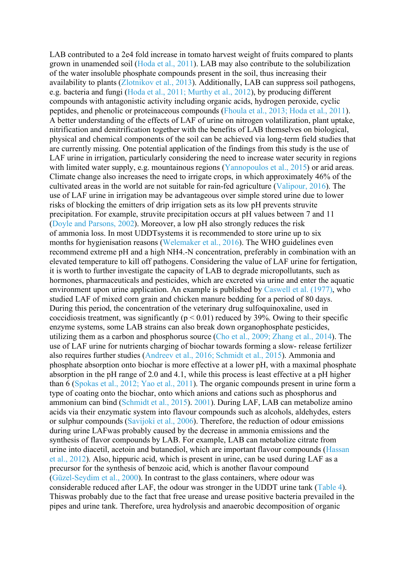LAB contributed to a 2e4 fold increase in tomato harvest weight of fruits compared to plants grown in unamended soil (Hoda et al., 2011). LAB may also contribute to the solubilization of the water insoluble phosphate compounds present in the soil, thus increasing their availability to plants (Zlotnikov et al., 2013). Additionally, LAB can suppress soil pathogens, e.g. bacteria and fungi (Hoda et al., 2011; Murthy et al., 2012), by producing different compounds with antagonistic activity including organic acids, hydrogen peroxide, cyclic peptides, and phenolic or proteinaceous compounds (Fhoula et al., 2013; Hoda et al., 2011). A better understanding of the effects of LAF of urine on nitrogen volatilization, plant uptake, nitrification and denitrification together with the benefits of LAB themselves on biological, physical and chemical components of the soil can be achieved via long-term field studies that are currently missing. One potential application of the findings from this study is the use of LAF urine in irrigation, particularly considering the need to increase water security in regions with limited water supply, e.g. mountainous regions (Yannopoulos et al., 2015) or arid areas. Climate change also increases the need to irrigate crops, in which approximately 46% of the cultivated areas in the world are not suitable for rain-fed agriculture (Valipour, 2016). The use of LAF urine in irrigation may be advantageous over simple stored urine due to lower risks of blocking the emitters of drip irrigation sets as its low pH prevents struvite precipitation. For example, struvite precipitation occurs at pH values between 7 and 11 (Doyle and Parsons, 2002). Moreover, a low pH also strongly reduces the risk of ammonia loss. In most UDDTsystems it is recommended to store urine up to six months for hygienisation reasons (Welemaker et al., 2016). The WHO guidelines even recommend extreme pH and a high NH4.-N concentration, preferably in combination with an elevated temperature to kill off pathogens. Considering the value of LAF urine for fertigation, it is worth to further investigate the capacity of LAB to degrade micropollutants, such as hormones, pharmaceuticals and pesticides, which are excreted via urine and enter the aquatic environment upon urine application. An example is published by Caswell et al. (1977), who studied LAF of mixed corn grain and chicken manure bedding for a period of 80 days. During this period, the concentration of the veterinary drug sulfoquinoxaline, used in coccidiosis treatment, was significantly ( $p < 0.01$ ) reduced by 39%. Owing to their specific enzyme systems, some LAB strains can also break down organophosphate pesticides, utilizing them as a carbon and phosphorus source (Cho et al., 2009; Zhang et al., 2014). The use of LAF urine for nutrients charging of biochar towards forming a slow- release fertilizer also requires further studies (Andreev et al., 2016; Schmidt et al., 2015). Ammonia and phosphate absorption onto biochar is more effective at a lower pH, with a maximal phosphate absorption in the pH range of 2.0 and 4.1, while this process is least effective at a pH higher than 6 (Spokas et al., 2012; Yao et al., 2011). The organic compounds present in urine form a type of coating onto the biochar, onto which anions and cations such as phosphorus and ammonium can bind (Schmidt et al., 2015). 2001). During LAF, LAB can metabolize amino acids via their enzymatic system into flavour compounds such as alcohols, aldehydes, esters or sulphur compounds (Savijoki et al., 2006). Therefore, the reduction of odour emissions during urine LAFwas probably caused by the decrease in ammonia emissions and the synthesis of flavor compounds by LAB. For example, LAB can metabolize citrate from urine into diacetil, acetoin and butanediol, which are important flavour compounds (Hassan et al., 2012). Also, hippuric acid, which is present in urine, can be used during LAF as a precursor for the synthesis of benzoic acid, which is another flavour compound (Güzel-Seydim et al., 2000). In contrast to the glass containers, where odour was considerable reduced after LAF, the odour was stronger in the UDDT urine tank (Table 4). Thiswas probably due to the fact that free urease and urease positive bacteria prevailed in the pipes and urine tank. Therefore, urea hydrolysis and anaerobic decomposition of organic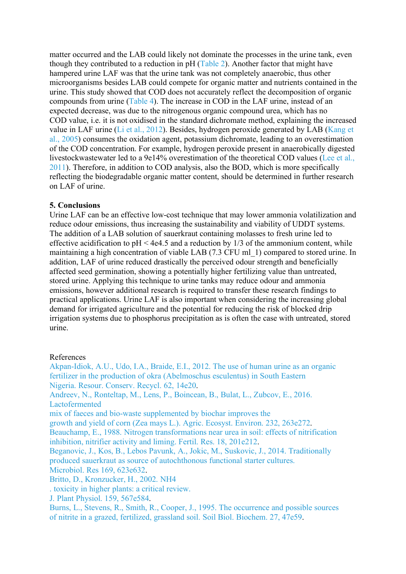matter occurred and the LAB could likely not dominate the processes in the urine tank, even though they contributed to a reduction in pH (Table 2). Another factor that might have hampered urine LAF was that the urine tank was not completely anaerobic, thus other microorganisms besides LAB could compete for organic matter and nutrients contained in the urine. This study showed that COD does not accurately reflect the decomposition of organic compounds from urine (Table 4). The increase in COD in the LAF urine, instead of an expected decrease, was due to the nitrogenous organic compound urea, which has no COD value, i.e. it is not oxidised in the standard dichromate method, explaining the increased value in LAF urine (Li et al., 2012). Besides, hydrogen peroxide generated by LAB (Kang et al., 2005) consumes the oxidation agent, potassium dichromate, leading to an overestimation of the COD concentration. For example, hydrogen peroxide present in anaerobically digested livestockwastewater led to a 9e14% overestimation of the theoretical COD values (Lee et al., 2011). Therefore, in addition to COD analysis, also the BOD, which is more specifically reflecting the biodegradable organic matter content, should be determined in further research on LAF of urine.

### **5. Conclusions**

Urine LAF can be an effective low-cost technique that may lower ammonia volatilization and reduce odour emissions, thus increasing the sustainability and viability of UDDT systems. The addition of a LAB solution of sauerkraut containing molasses to fresh urine led to effective acidification to  $pH < 4e4.5$  and a reduction by 1/3 of the ammonium content, while maintaining a high concentration of viable LAB (7.3 CFU ml\_1) compared to stored urine. In addition, LAF of urine reduced drastically the perceived odour strength and beneficially affected seed germination, showing a potentially higher fertilizing value than untreated, stored urine. Applying this technique to urine tanks may reduce odour and ammonia emissions, however additional research is required to transfer these research findings to practical applications. Urine LAF is also important when considering the increasing global demand for irrigated agriculture and the potential for reducing the risk of blocked drip irrigation systems due to phosphorus precipitation as is often the case with untreated, stored urine.

### References

Akpan-Idiok, A.U., Udo, I.A., Braide, E.I., 2012. The use of human urine as an organic fertilizer in the production of okra (Abelmoschus esculentus) in South Eastern Nigeria. Resour. Conserv. Recycl. 62, 14e20. Andreev, N., Ronteltap, M., Lens, P., Boincean, B., Bulat, L., Zubcov, E., 2016. Lactofermented mix of faeces and bio-waste supplemented by biochar improves the growth and yield of corn (Zea mays L.). Agric. Ecosyst. Environ. 232, 263e272. Beauchamp, E., 1988. Nitrogen transformations near urea in soil: effects of nitrification inhibition, nitrifier activity and liming. Fertil. Res. 18, 201e212. Beganovic, J., Kos, B., Lebos Pavunk, A., Jokic, M., Suskovic, J., 2014. Traditionally produced sauerkraut as source of autochthonous functional starter cultures. Microbiol. Res 169, 623e632. Britto, D., Kronzucker, H., 2002. NH4 . toxicity in higher plants: a critical review. J. Plant Physiol. 159, 567e584. Burns, L., Stevens, R., Smith, R., Cooper, J., 1995. The occurrence and possible sources of nitrite in a grazed, fertilized, grassland soil. Soil Biol. Biochem. 27, 47e59.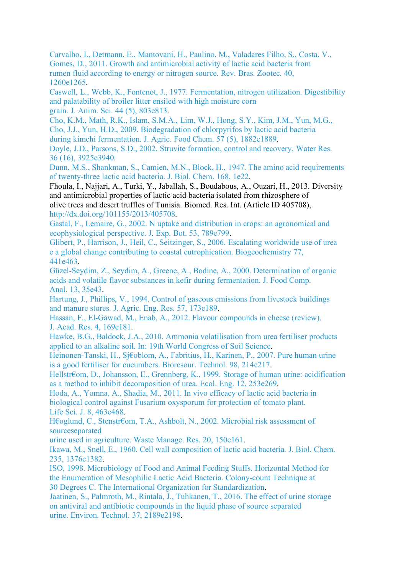Carvalho, I., Detmann, E., Mantovani, H., Paulino, M., Valadares Filho, S., Costa, V., Gomes, D., 2011. Growth and antimicrobial activity of lactic acid bacteria from rumen fluid according to energy or nitrogen source. Rev. Bras. Zootec. 40, 1260e1265.

Caswell, L., Webb, K., Fontenot, J., 1977. Fermentation, nitrogen utilization. Digestibility and palatability of broiler litter ensiled with high moisture corn grain. J. Anim. Sci. 44 (5), 803e813.

Cho, K.M., Math, R.K., Islam, S.M.A., Lim, W.J., Hong, S.Y., Kim, J.M., Yun, M.G., Cho, J.J., Yun, H.D., 2009. Biodegradation of chlorpyrifos by lactic acid bacteria during kimchi fermentation. J. Agric. Food Chem. 57 (5), 1882e1889.

Doyle, J.D., Parsons, S.D., 2002. Struvite formation, control and recovery. Water Res. 36 (16), 3925e3940.

Dunn, M.S., Shankman, S., Camien, M.N., Block, H., 1947. The amino acid requirements of twenty-three lactic acid bacteria. J. Biol. Chem. 168, 1e22.

Fhoula, I., Najjari, A., Turki, Y., Jaballah, S., Boudabous, A., Ouzari, H., 2013. Diversity and antimicrobial properties of lactic acid bacteria isolated from rhizosphere of olive trees and desert truffles of Tunisia. Biomed. Res. Int. (Article ID 405708), http://dx.doi.org/101155/2013/405708.

Gastal, F., Lemaire, G., 2002. N uptake and distribution in crops: an agronomical and ecophysiological perspective. J. Exp. Bot. 53, 789e799.

Glibert, P., Harrison, J., Heil, C., Seitzinger, S., 2006. Escalating worldwide use of urea e a global change contributing to coastal eutrophication. Biogeochemistry 77, 441e463.

Güzel-Seydim, Z., Seydim, A., Greene, A., Bodine, A., 2000. Determination of organic acids and volatile flavor substances in kefir during fermentation. J. Food Comp. Anal. 13, 35e43.

Hartung, J., Phillips, V., 1994. Control of gaseous emissions from livestock buildings and manure stores. J. Agric. Eng. Res. 57, 173e189.

Hassan, F., El-Gawad, M., Enab, A., 2012. Flavour compounds in cheese (review). J. Acad. Res. 4, 169e181.

Hawke, B.G., Baldock, J.A., 2010. Ammonia volatilisation from urea fertiliser products applied to an alkaline soil. In: 19th World Congress of Soil Science.

Heinonen-Tanski, H., Sj€oblom, A., Fabritius, H., Karinen, P., 2007. Pure human urine is a good fertiliser for cucumbers. Bioresour. Technol. 98, 214e217.

Hellstr€om, D., Johansson, E., Grennberg, K., 1999. Storage of human urine: acidification as a method to inhibit decomposition of urea. Ecol. Eng. 12, 253e269.

Hoda, A., Yomna, A., Shadia, M., 2011. In vivo efficacy of lactic acid bacteria in biological control against Fusarium oxysporum for protection of tomato plant. Life Sci. J. 8, 463e468.

H€oglund, C., Stenstr€om, T.A., Ashbolt, N., 2002. Microbial risk assessment of sourceseparated

urine used in agriculture. Waste Manage. Res. 20, 150e161.

Ikawa, M., Snell, E., 1960. Cell wall composition of lactic acid bacteria. J. Biol. Chem. 235, 1376e1382.

ISO, 1998. Microbiology of Food and Animal Feeding Stuffs. Horizontal Method for the Enumeration of Mesophilic Lactic Acid Bacteria. Colony-count Technique at 30 Degrees C. The International Organization for Standardization.

Jaatinen, S., Palmroth, M., Rintala, J., Tuhkanen, T., 2016. The effect of urine storage on antiviral and antibiotic compounds in the liquid phase of source separated urine. Environ. Technol. 37, 2189e2198.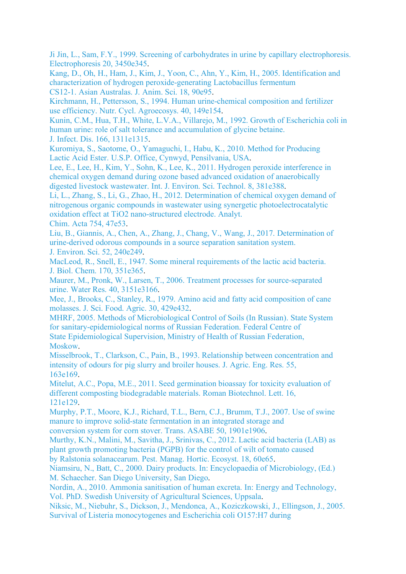Ji Jin, L., Sam, F.Y., 1999. Screening of carbohydrates in urine by capillary electrophoresis. Electrophoresis 20, 3450e345.

Kang, D., Oh, H., Ham, J., Kim, J., Yoon, C., Ahn, Y., Kim, H., 2005. Identification and characterization of hydrogen peroxide-generating Lactobacillus fermentum CS12-1. Asian Australas. J. Anim. Sci. 18, 90e95.

Kirchmann, H., Pettersson, S., 1994. Human urine-chemical composition and fertilizer use efficiency. Nutr. Cycl. Agroecosys. 40, 149e154.

Kunin, C.M., Hua, T.H., White, L.V.A., Villarejo, M., 1992. Growth of Escherichia coli in human urine: role of salt tolerance and accumulation of glycine betaine.

J. Infect. Dis. 166, 1311e1315.

Kuromiya, S., Saotome, O., Yamaguchi, I., Habu, K., 2010. Method for Producing Lactic Acid Ester. U.S.P. Office, Cynwyd, Pensilvania, USA.

Lee, E., Lee, H., Kim, Y., Sohn, K., Lee, K., 2011. Hydrogen peroxide interference in chemical oxygen demand during ozone based advanced oxidation of anaerobically digested livestock wastewater. Int. J. Environ. Sci. Technol. 8, 381e388.

Li, L., Zhang, S., Li, G., Zhao, H., 2012. Determination of chemical oxygen demand of nitrogenous organic compounds in wastewater using synergetic photoelectrocatalytic oxidation effect at TiO2 nano-structured electrode. Analyt.

Chim. Acta 754, 47e53.

Liu, B., Giannis, A., Chen, A., Zhang, J., Chang, V., Wang, J., 2017. Determination of urine-derived odorous compounds in a source separation sanitation system. J. Environ. Sci. 52, 240e249.

MacLeod, R., Snell, E., 1947. Some mineral requirements of the lactic acid bacteria. J. Biol. Chem. 170, 351e365.

Maurer, M., Pronk, W., Larsen, T., 2006. Treatment processes for source-separated urine. Water Res. 40, 3151e3166.

Mee, J., Brooks, C., Stanley, R., 1979. Amino acid and fatty acid composition of cane molasses. J. Sci. Food. Agric. 30, 429e432.

MHRF, 2005. Methods of Microbiological Control of Soils (In Russian). State System for sanitary-epidemiological norms of Russian Federation. Federal Centre of State Epidemiological Supervision, Ministry of Health of Russian Federation, Moskow.

Misselbrook, T., Clarkson, C., Pain, B., 1993. Relationship between concentration and intensity of odours for pig slurry and broiler houses. J. Agric. Eng. Res. 55, 163e169.

Mitelut, A.C., Popa, M.E., 2011. Seed germination bioassay for toxicity evaluation of different composting biodegradable materials. Roman Biotechnol. Lett. 16, 121e129.

Murphy, P.T., Moore, K.J., Richard, T.L., Bern, C.J., Brumm, T.J., 2007. Use of swine manure to improve solid-state fermentation in an integrated storage and conversion system for corn stover. Trans. ASABE 50, 1901e1906.

Murthy, K.N., Malini, M., Savitha, J., Srinivas, C., 2012. Lactic acid bacteria (LAB) as plant growth promoting bacteria (PGPB) for the control of wilt of tomato caused

by Ralstonia solanacearum. Pest. Manag. Hortic. Ecosyst. 18, 60e65.

Niamsiru, N., Batt, C., 2000. Dairy products. In: Encyclopaedia of Microbiology, (Ed.) M. Schaecher. San Diego University, San Diego.

Nordin, A., 2010. Ammonia sanitisation of human excreta. In: Energy and Technology, Vol. PhD. Swedish University of Agricultural Sciences, Uppsala.

Niksic, M., Niebuhr, S., Dickson, J., Mendonca, A., Koziczkowski, J., Ellingson, J., 2005. Survival of Listeria monocytogenes and Escherichia coli O157:H7 during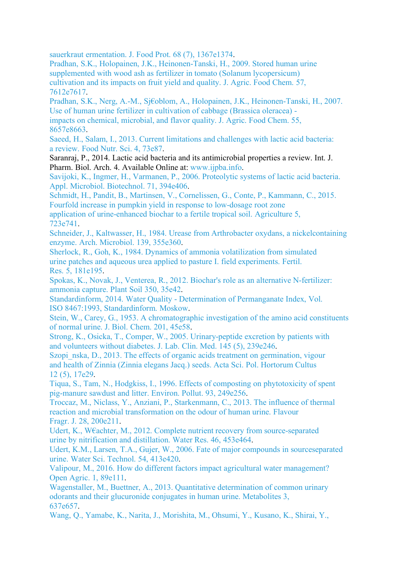sauerkraut ermentation. J. Food Prot. 68 (7), 1367e1374.

Pradhan, S.K., Holopainen, J.K., Heinonen-Tanski, H., 2009. Stored human urine supplemented with wood ash as fertilizer in tomato (Solanum lycopersicum) cultivation and its impacts on fruit yield and quality. J. Agric. Food Chem. 57, 7612e7617.

Pradhan, S.K., Nerg, A.-M., Sj€oblom, A., Holopainen, J.K., Heinonen-Tanski, H., 2007. Use of human urine fertilizer in cultivation of cabbage (Brassica oleracea) impacts on chemical, microbial, and flavor quality. J. Agric. Food Chem. 55, 8657e8663.

Saeed, H., Salam, I., 2013. Current limitations and challenges with lactic acid bacteria: a review. Food Nutr. Sci. 4, 73e87.

Saranraj, P., 2014. Lactic acid bacteria and its antimicrobial properties a review. Int. J. Pharm. Biol. Arch. 4. Available Online at: www.ijpba.info.

Savijoki, K., Ingmer, H., Varmanen, P., 2006. Proteolytic systems of lactic acid bacteria. Appl. Microbiol. Biotechnol. 71, 394e406.

Schmidt, H., Pandit, B., Martinsen, V., Cornelissen, G., Conte, P., Kammann, C., 2015. Fourfold increase in pumpkin yield in response to low-dosage root zone

application of urine-enhanced biochar to a fertile tropical soil. Agriculture 5, 723e741.

Schneider, J., Kaltwasser, H., 1984. Urease from Arthrobacter oxydans, a nickelcontaining enzyme. Arch. Microbiol. 139, 355e360.

Sherlock, R., Goh, K., 1984. Dynamics of ammonia volatilization from simulated urine patches and aqueous urea applied to pasture I. field experiments. Fertil. Res. 5, 181e195.

Spokas, K., Novak, J., Venterea, R., 2012. Biochar's role as an alternative N-fertilizer: ammonia capture. Plant Soil 350, 35e42.

Standardinform, 2014. Water Quality - Determination of Permanganate Index, Vol. ISO 8467:1993, Standardinform. Moskow.

Stein, W., Carey, G., 1953. A chromatographic investigation of the amino acid constituents of normal urine. J. Biol. Chem. 201, 45e58.

Strong, K., Osicka, T., Comper, W., 2005. Urinary-peptide excretion by patients with and volunteers without diabetes. J. Lab. Clin. Med. 145 (5), 239e246.

Szopi nska, D., 2013. The effects of organic acids treatment on germination, vigour and health of Zinnia (Zinnia elegans Jacq.) seeds. Acta Sci. Pol. Hortorum Cultus 12 (5), 17e29.

Tiqua, S., Tam, N., Hodgkiss, I., 1996. Effects of composting on phytotoxicity of spent pig-manure sawdust and litter. Environ. Pollut. 93, 249e256.

Troccaz, M., Niclass, Y., Anziani, P., Starkenmann, C., 2013. The influence of thermal reaction and microbial transformation on the odour of human urine. Flavour Fragr. J. 28, 200e211.

Udert, K., W€achter, M., 2012. Complete nutrient recovery from source-separated urine by nitrification and distillation. Water Res. 46, 453e464.

Udert, K.M., Larsen, T.A., Gujer, W., 2006. Fate of major compounds in sourceseparated urine. Water Sci. Technol. 54, 413e420.

Valipour, M., 2016. How do different factors impact agricultural water management? Open Agric. 1, 89e111.

Wagenstaller, M., Buettner, A., 2013. Quantitative determination of common urinary odorants and their glucuronide conjugates in human urine. Metabolites 3, 637e657.

Wang, Q., Yamabe, K., Narita, J., Morishita, M., Ohsumi, Y., Kusano, K., Shirai, Y.,